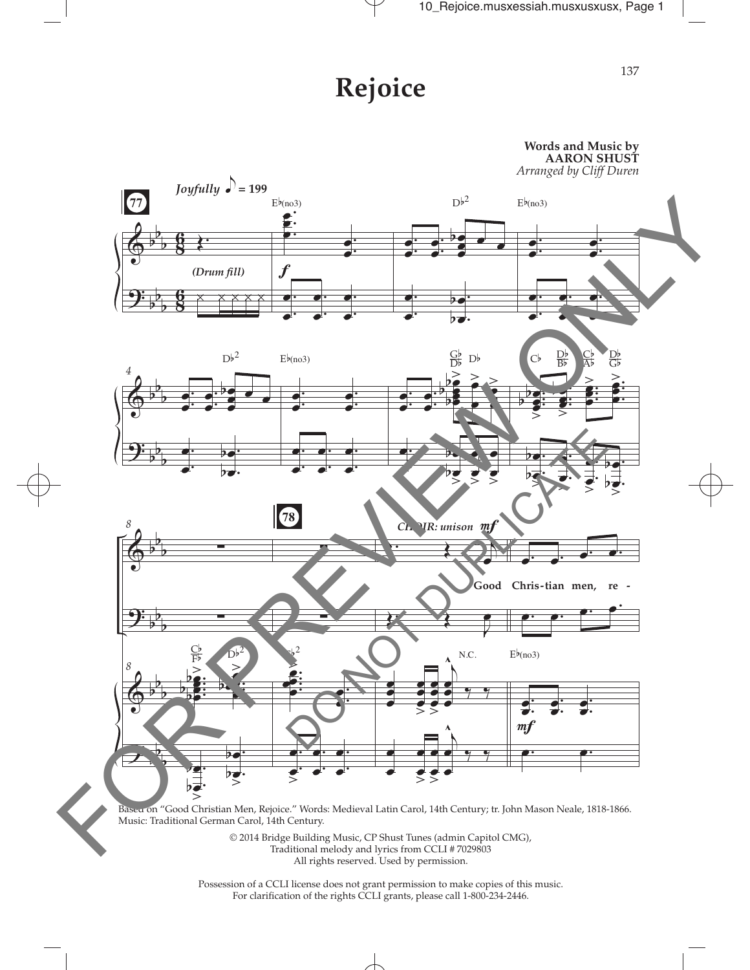## **Rejoice**



Possession of a CCLI license does not grant permission to make copies of this music. For clarifcation of the rights CCLI grants, please call 1-800-234-2446.

 $\overline{\phantom{a}}$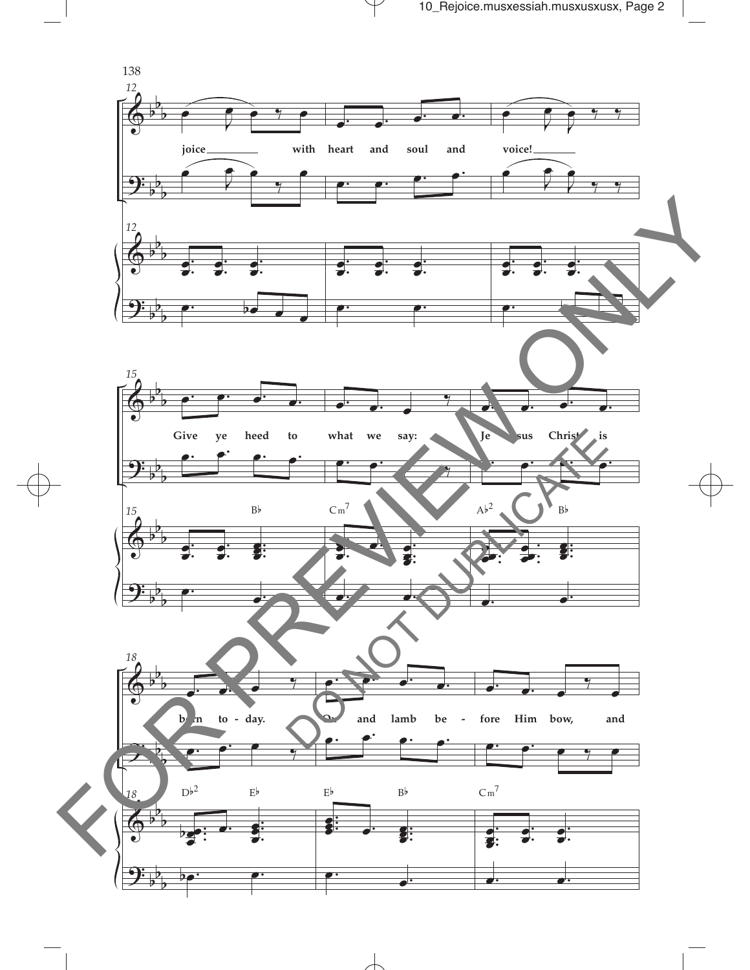

 $\overline{\phantom{a}}$ 

 $\mathcal Y$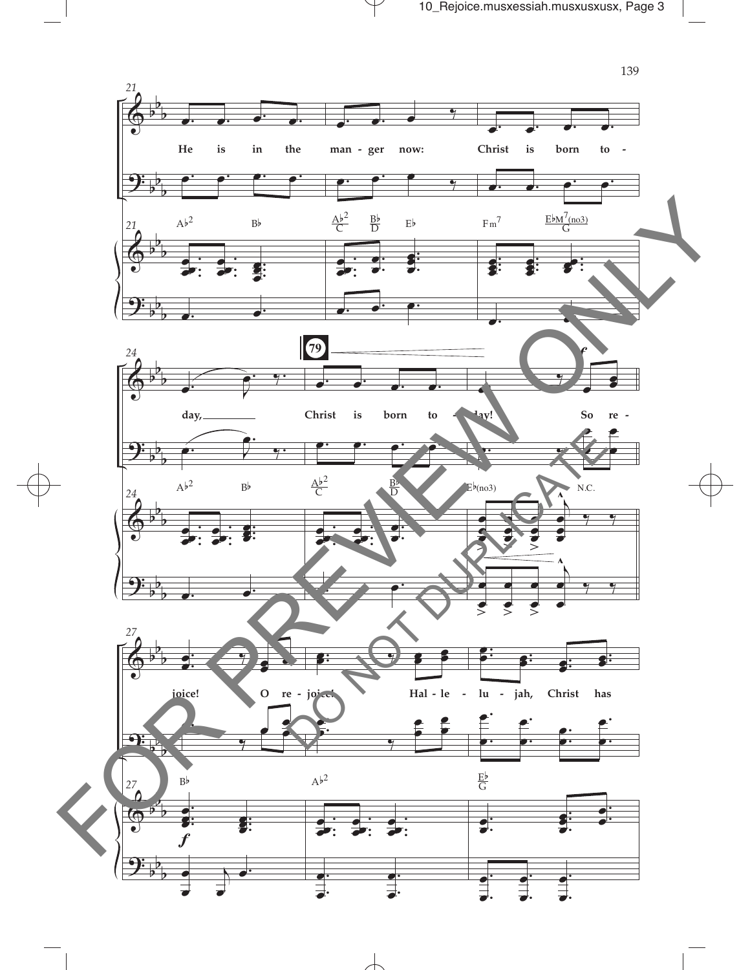

 $\mathcal V$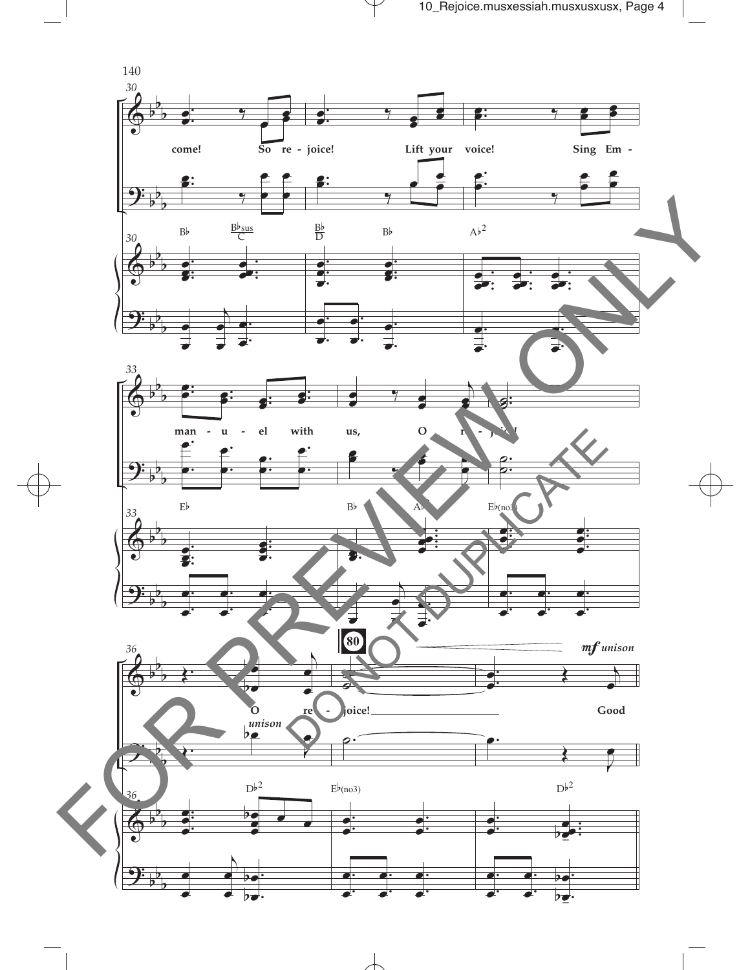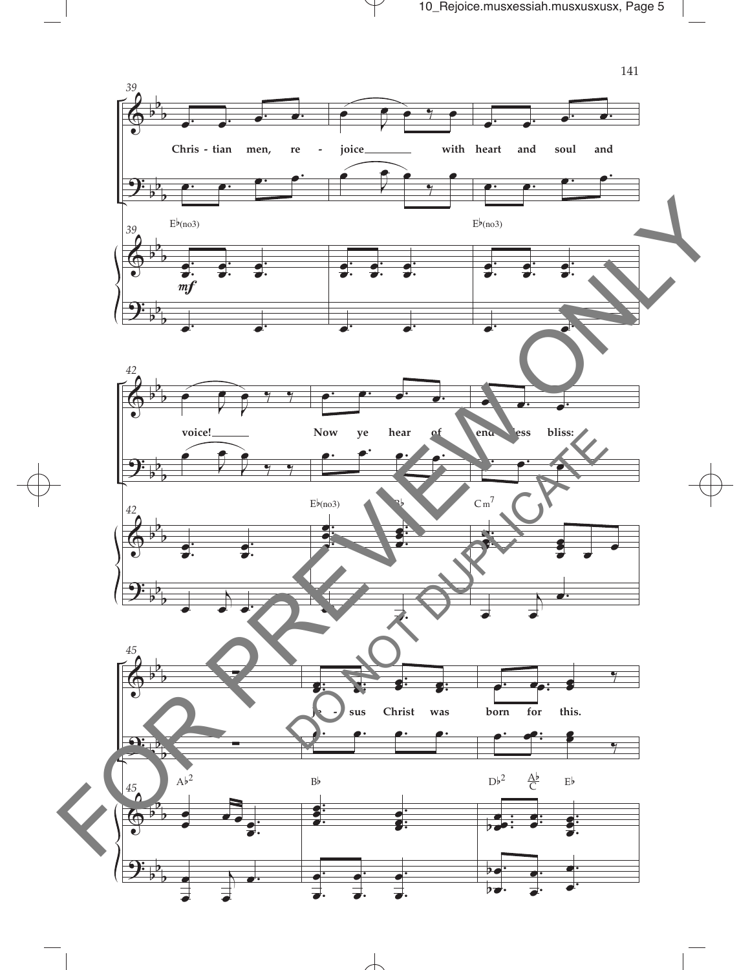

 $\mathcal Y$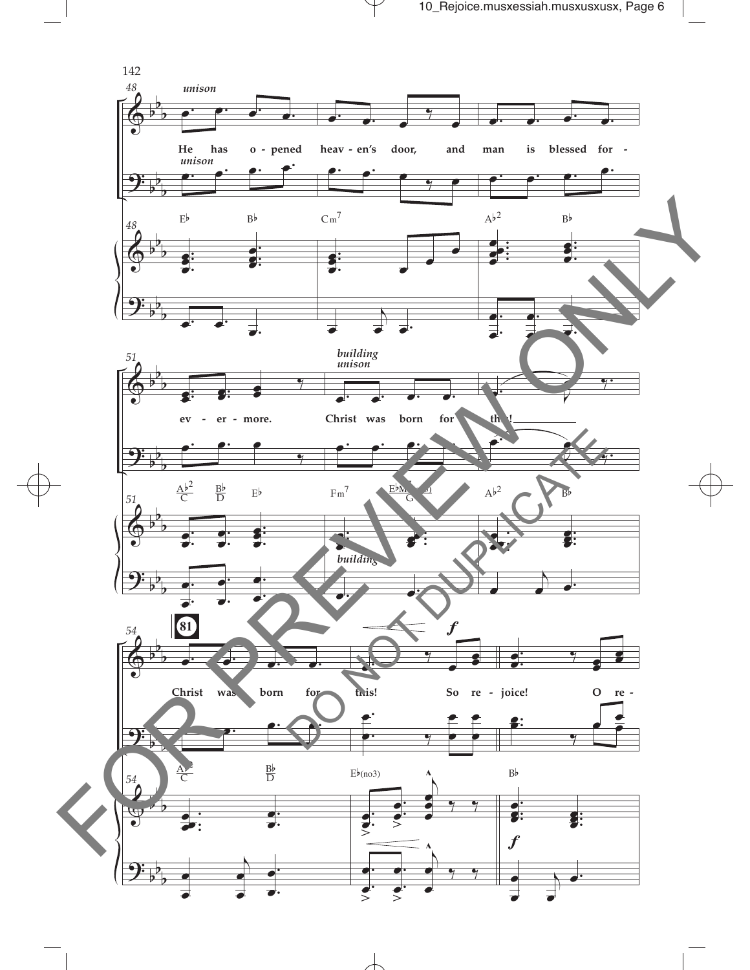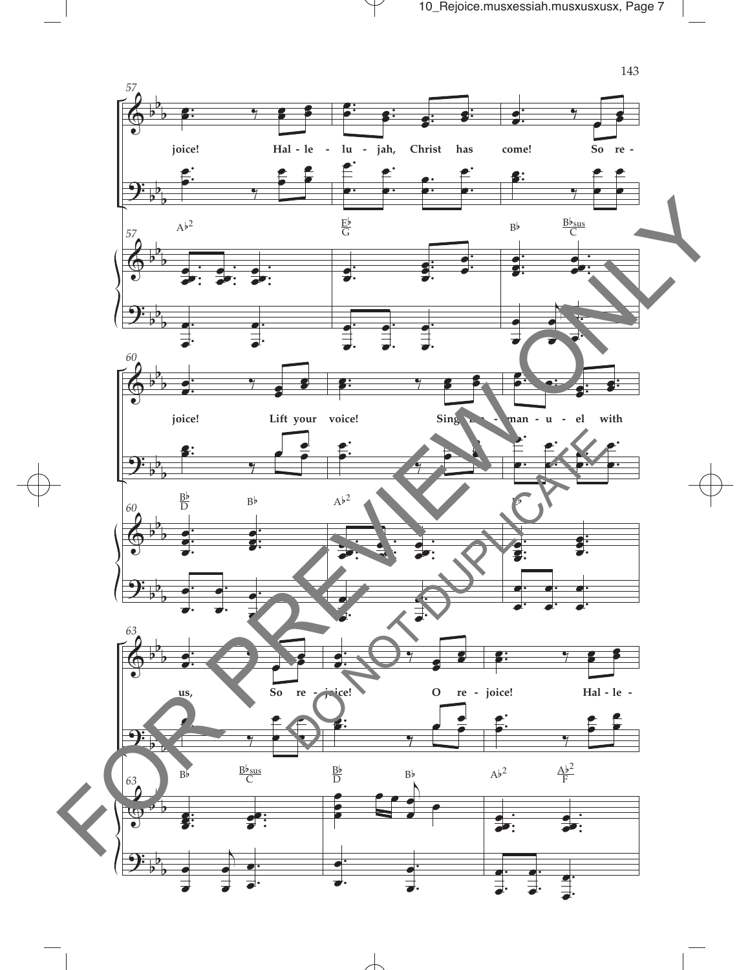

 $\overline{\phantom{a}}$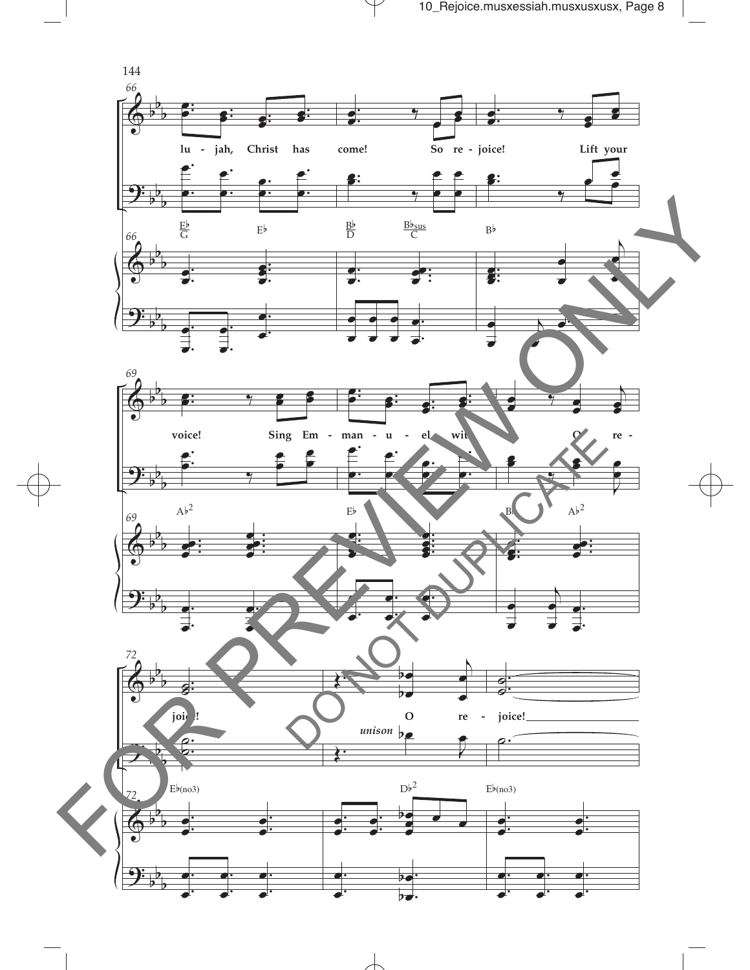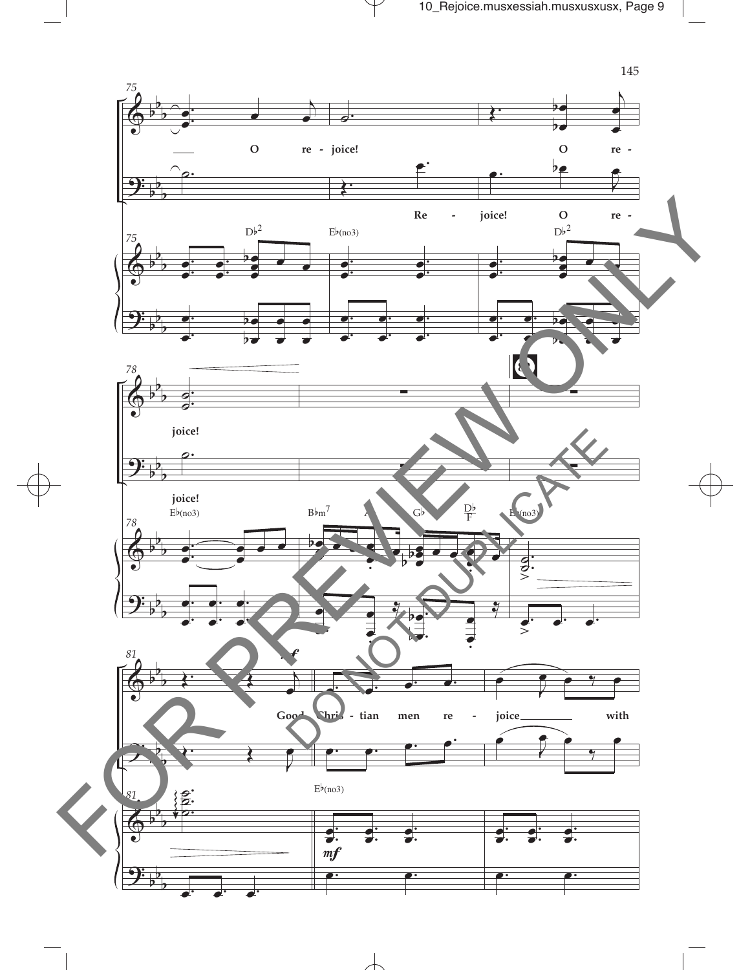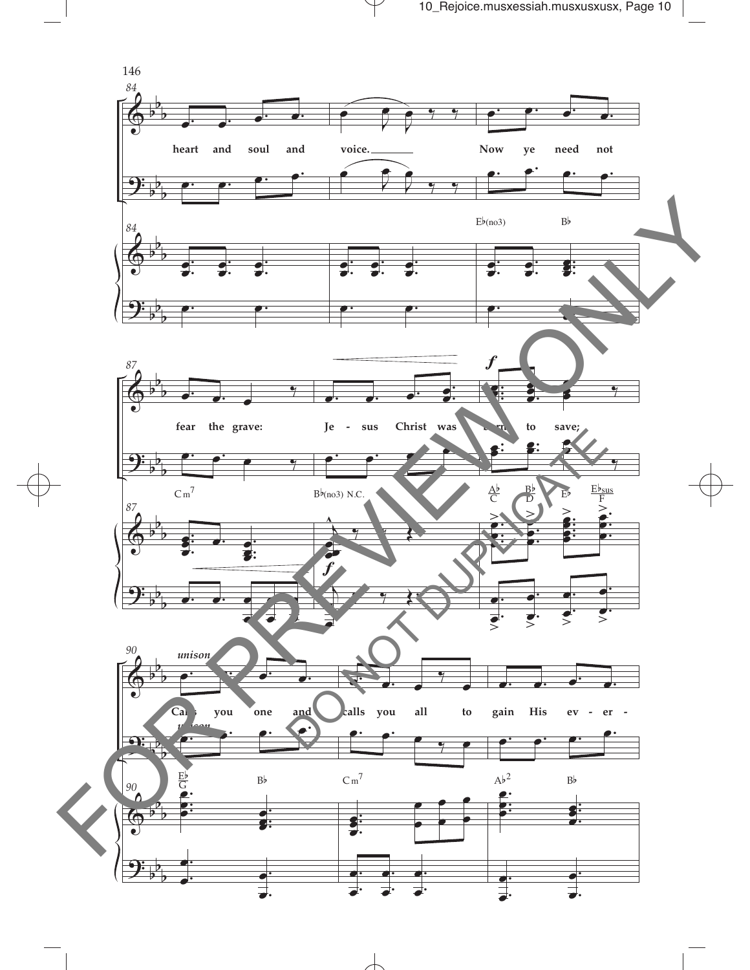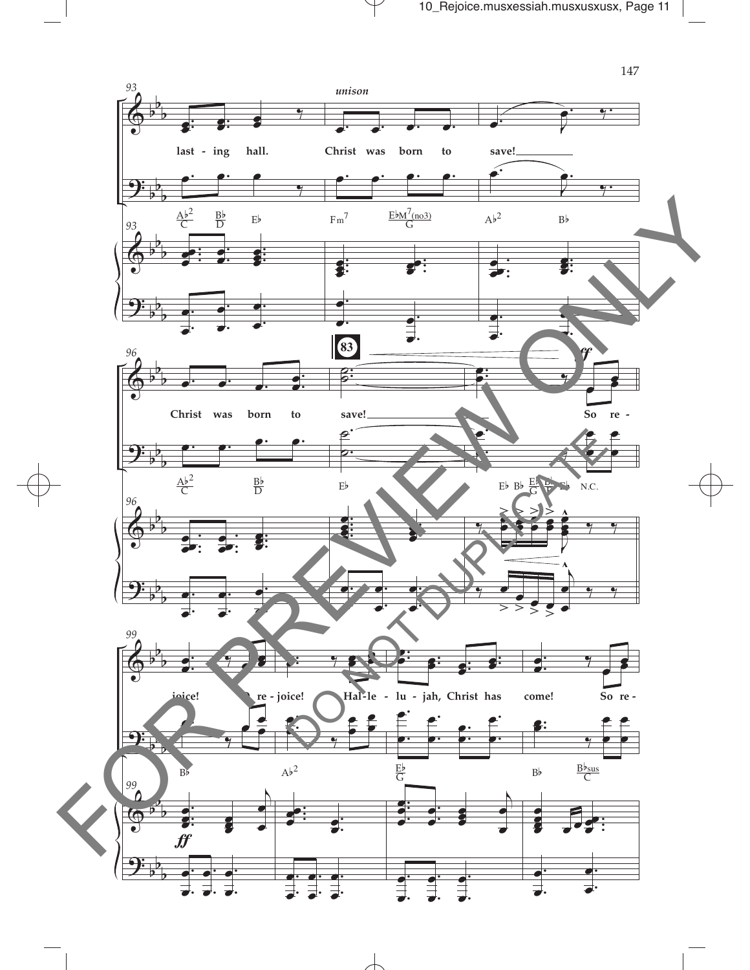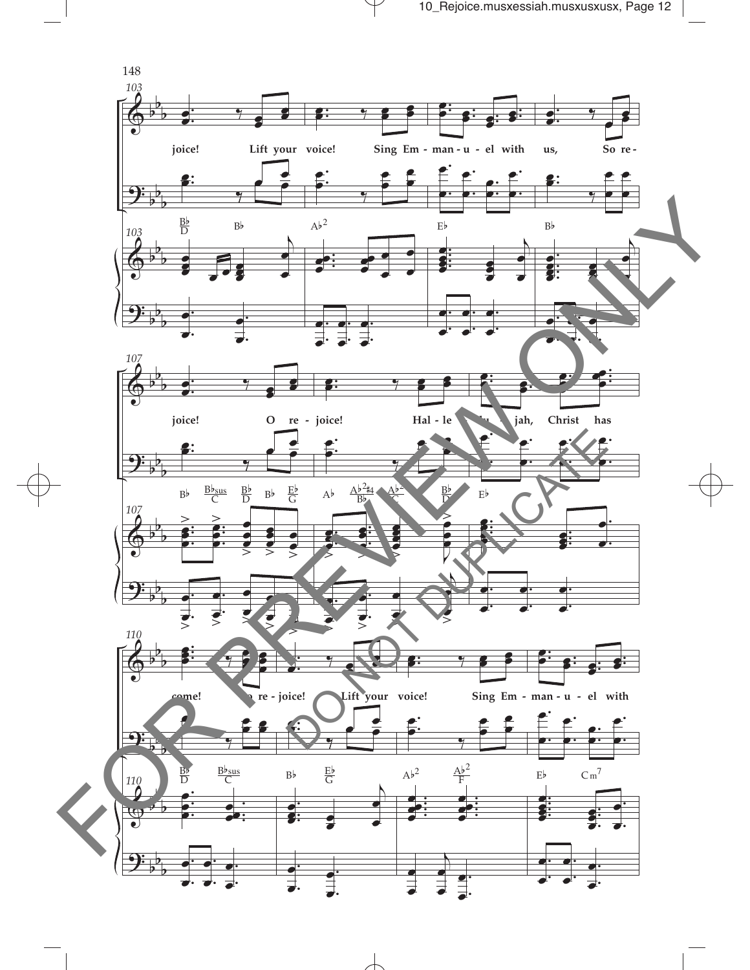

 $\overline{\phantom{a}}$